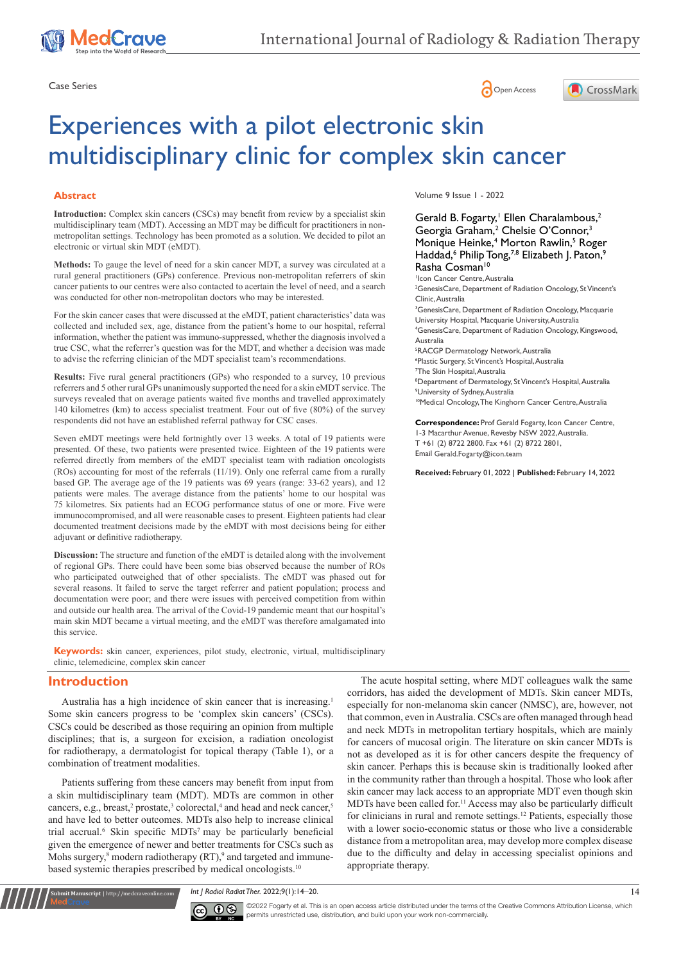





# Experiences with a pilot electronic skin multidisciplinary clinic for complex skin cancer

### **Abstract**

**Introduction:** Complex skin cancers (CSCs) may benefit from review by a specialist skin multidisciplinary team (MDT). Accessing an MDT may be difficult for practitioners in nonmetropolitan settings. Technology has been promoted as a solution. We decided to pilot an electronic or virtual skin MDT (eMDT).

**Methods:** To gauge the level of need for a skin cancer MDT, a survey was circulated at a rural general practitioners (GPs) conference. Previous non-metropolitan referrers of skin cancer patients to our centres were also contacted to acertain the level of need, and a search was conducted for other non-metropolitan doctors who may be interested.

For the skin cancer cases that were discussed at the eMDT, patient characteristics' data was collected and included sex, age, distance from the patient's home to our hospital, referral information, whether the patient was immuno-suppressed, whether the diagnosis involved a true CSC, what the referrer's question was for the MDT, and whether a decision was made to advise the referring clinician of the MDT specialist team's recommendations.

**Results:** Five rural general practitioners (GPs) who responded to a survey, 10 previous referrers and 5 other rural GPs unanimously supported the need for a skin eMDT service. The surveys revealed that on average patients waited five months and travelled approximately 140 kilometres (km) to access specialist treatment. Four out of five (80%) of the survey respondents did not have an established referral pathway for CSC cases.

Seven eMDT meetings were held fortnightly over 13 weeks. A total of 19 patients were presented. Of these, two patients were presented twice. Eighteen of the 19 patients were referred directly from members of the eMDT specialist team with radiation oncologists (ROs) accounting for most of the referrals (11/19). Only one referral came from a rurally based GP. The average age of the 19 patients was 69 years (range: 33-62 years), and 12 patients were males. The average distance from the patients' home to our hospital was 75 kilometres. Six patients had an ECOG performance status of one or more. Five were immunocompromised, and all were reasonable cases to present. Eighteen patients had clear documented treatment decisions made by the eMDT with most decisions being for either adjuvant or definitive radiotherapy.

**Discussion:** The structure and function of the eMDT is detailed along with the involvement of regional GPs. There could have been some bias observed because the number of ROs who participated outweighed that of other specialists. The eMDT was phased out for several reasons. It failed to serve the target referrer and patient population; process and documentation were poor; and there were issues with perceived competition from within and outside our health area. The arrival of the Covid-19 pandemic meant that our hospital's main skin MDT became a virtual meeting, and the eMDT was therefore amalgamated into this service.

**Keywords:** skin cancer, experiences, pilot study, electronic, virtual, multidisciplinary clinic, telemedicine, complex skin cancer

# **Introduction**

**.<br>19 Manuscript** | http://medcraveonline.c

Australia has a high incidence of skin cancer that is increasing.1 Some skin cancers progress to be 'complex skin cancers' (CSCs). CSCs could be described as those requiring an opinion from multiple disciplines; that is, a surgeon for excision, a radiation oncologist for radiotherapy, a dermatologist for topical therapy (Table 1), or a combination of treatment modalities.

Patients suffering from these cancers may benefit from input from a skin multidisciplinary team (MDT). MDTs are common in other cancers, e.g., breast,<sup>2</sup> prostate,<sup>3</sup> colorectal,<sup>4</sup> and head and neck cancer,<sup>5</sup> and have led to better outcomes. MDTs also help to increase clinical trial accrual.<sup>6</sup> Skin specific MDTs<sup>7</sup> may be particularly beneficial given the emergence of newer and better treatments for CSCs such as Mohs surgery,<sup>8</sup> modern radiotherapy (RT),<sup>9</sup> and targeted and immunebased systemic therapies prescribed by medical oncologists.<sup>10</sup>

Volume 9 Issue 1 - 2022

Gerald B. Fogarty,<sup>1</sup> Ellen Charalambous,<sup>2</sup> Georgia Graham,<sup>2</sup> Chelsie O'Connor,<sup>3</sup> Monique Heinke,<sup>4</sup> Morton Rawlin,<sup>5</sup> Roger Haddad,<sup>6</sup> Philip Tong,<sup>7,8</sup> Elizabeth J. Paton,<sup>9</sup> Rasha Cosman<sup>10</sup>

1 Icon Cancer Centre, Australia <sup>2</sup>GenesisCare, Department of Radiation Oncology, St Vincent's Clinic, Australia <sup>3</sup>GenesisCare, Department of Radiation Oncology, Macquarie University Hospital, Macquarie University, Australia

4 GenesisCare, Department of Radiation Oncology, Kingswood, Australia

 RACGP Dermatology Network, Australia Plastic Surgery, St Vincent's Hospital, Australia The Skin Hospital, Australia Department of Dermatology, St Vincent's Hospital, Australia University of Sydney, Australia 10Medical Oncology, The Kinghorn Cancer Centre, Australia

**Correspondence:** Prof Gerald Fogarty, Icon Cancer Centre, 1-3 Macarthur Avenue, Revesby NSW 2022, Australia. T +61 (2) 8722 2800. Fax +61 (2) 8722 2801,

Email Gerald.Fogarty@icon.team

**Received:** February 01, 2022 | **Published:** February 14, 2022

The acute hospital setting, where MDT colleagues walk the same corridors, has aided the development of MDTs. Skin cancer MDTs, especially for non-melanoma skin cancer (NMSC), are, however, not that common, even in Australia. CSCs are often managed through head and neck MDTs in metropolitan tertiary hospitals, which are mainly for cancers of mucosal origin. The literature on skin cancer MDTs is not as developed as it is for other cancers despite the frequency of skin cancer. Perhaps this is because skin is traditionally looked after in the community rather than through a hospital. Those who look after skin cancer may lack access to an appropriate MDT even though skin MDTs have been called for.11 Access may also be particularly difficult for clinicians in rural and remote settings.<sup>12</sup> Patients, especially those with a lower socio-economic status or those who live a considerable distance from a metropolitan area, may develop more complex disease due to the difficulty and delay in accessing specialist opinions and appropriate therapy.

*Int J Radiol Radiat Ther.* 2022;9(1):14‒20. 14



 $\overline{\text{cc}}$   $\overline{\text{C}}$   $\odot$   $\odot$  2022 Fogarty et al. This is an open access article distributed under the terms of the [Creative Commons Attribution License,](https://creativecommons.org/licenses/by-nc/4.0/) which permits unrestricted use, distribution, and build upon your work non-commercially.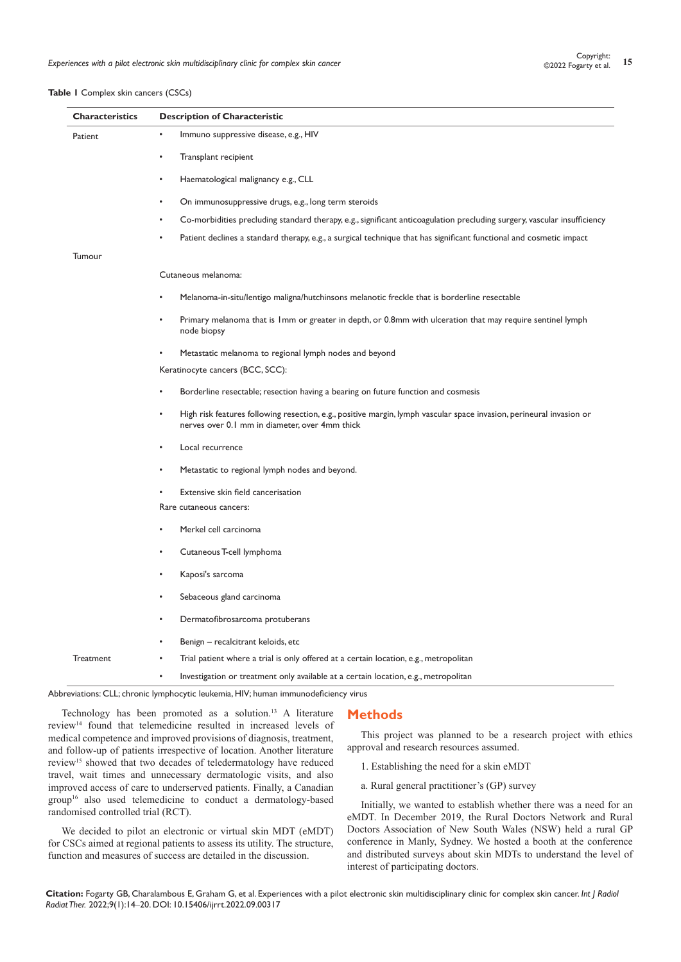## **Table 1** Complex skin cancers (CSCs)

| <b>Characteristics</b> | <b>Description of Characteristic</b>                                                                                                                                   |  |  |  |  |  |  |
|------------------------|------------------------------------------------------------------------------------------------------------------------------------------------------------------------|--|--|--|--|--|--|
| Patient                | Immuno suppressive disease, e.g., HIV                                                                                                                                  |  |  |  |  |  |  |
|                        | Transplant recipient                                                                                                                                                   |  |  |  |  |  |  |
|                        | Haematological malignancy e.g., CLL                                                                                                                                    |  |  |  |  |  |  |
|                        | On immunosuppressive drugs, e.g., long term steroids                                                                                                                   |  |  |  |  |  |  |
|                        | Co-morbidities precluding standard therapy, e.g., significant anticoagulation precluding surgery, vascular insufficiency                                               |  |  |  |  |  |  |
|                        | Patient declines a standard therapy, e.g., a surgical technique that has significant functional and cosmetic impact                                                    |  |  |  |  |  |  |
| Tumour                 |                                                                                                                                                                        |  |  |  |  |  |  |
|                        | Cutaneous melanoma:                                                                                                                                                    |  |  |  |  |  |  |
|                        | Melanoma-in-situ/lentigo maligna/hutchinsons melanotic freckle that is borderline resectable                                                                           |  |  |  |  |  |  |
|                        | Primary melanoma that is 1mm or greater in depth, or 0.8mm with ulceration that may require sentinel lymph<br>node biopsy                                              |  |  |  |  |  |  |
|                        | Metastatic melanoma to regional lymph nodes and beyond                                                                                                                 |  |  |  |  |  |  |
|                        | Keratinocyte cancers (BCC, SCC):                                                                                                                                       |  |  |  |  |  |  |
|                        | Borderline resectable; resection having a bearing on future function and cosmesis                                                                                      |  |  |  |  |  |  |
|                        | High risk features following resection, e.g., positive margin, lymph vascular space invasion, perineural invasion or<br>nerves over 0.1 mm in diameter, over 4mm thick |  |  |  |  |  |  |
|                        | Local recurrence                                                                                                                                                       |  |  |  |  |  |  |
|                        | Metastatic to regional lymph nodes and beyond.                                                                                                                         |  |  |  |  |  |  |
|                        | Extensive skin field cancerisation                                                                                                                                     |  |  |  |  |  |  |
|                        | Rare cutaneous cancers:                                                                                                                                                |  |  |  |  |  |  |
|                        | Merkel cell carcinoma                                                                                                                                                  |  |  |  |  |  |  |
|                        | Cutaneous T-cell lymphoma                                                                                                                                              |  |  |  |  |  |  |
|                        | Kaposi's sarcoma                                                                                                                                                       |  |  |  |  |  |  |
|                        | Sebaceous gland carcinoma                                                                                                                                              |  |  |  |  |  |  |
|                        | Dermatofibrosarcoma protuberans                                                                                                                                        |  |  |  |  |  |  |
|                        | Benign - recalcitrant keloids, etc                                                                                                                                     |  |  |  |  |  |  |
| Treatment              | Trial patient where a trial is only offered at a certain location, e.g., metropolitan                                                                                  |  |  |  |  |  |  |
|                        | Investigation or treatment only available at a certain location, e.g., metropolitan                                                                                    |  |  |  |  |  |  |

Abbreviations: CLL; chronic lymphocytic leukemia, HIV; human immunodeficiency virus

# Technology has been promoted as a solution.13 A literature review14 found that telemedicine resulted in increased levels of medical competence and improved provisions of diagnosis, treatment, and follow-up of patients irrespective of location. Another literature review15 showed that two decades of teledermatology have reduced travel, wait times and unnecessary dermatologic visits, and also improved access of care to underserved patients. Finally, a Canadian group<sup>16</sup> also used telemedicine to conduct a dermatology-based randomised controlled trial (RCT).

We decided to pilot an electronic or virtual skin MDT (eMDT) for CSCs aimed at regional patients to assess its utility. The structure, function and measures of success are detailed in the discussion.

# **Methods**

This project was planned to be a research project with ethics approval and research resources assumed.

- 1. Establishing the need for a skin eMDT
- a. Rural general practitioner's (GP) survey

Initially, we wanted to establish whether there was a need for an eMDT. In December 2019, the Rural Doctors Network and Rural Doctors Association of New South Wales (NSW) held a rural GP conference in Manly, Sydney. We hosted a booth at the conference and distributed surveys about skin MDTs to understand the level of interest of participating doctors.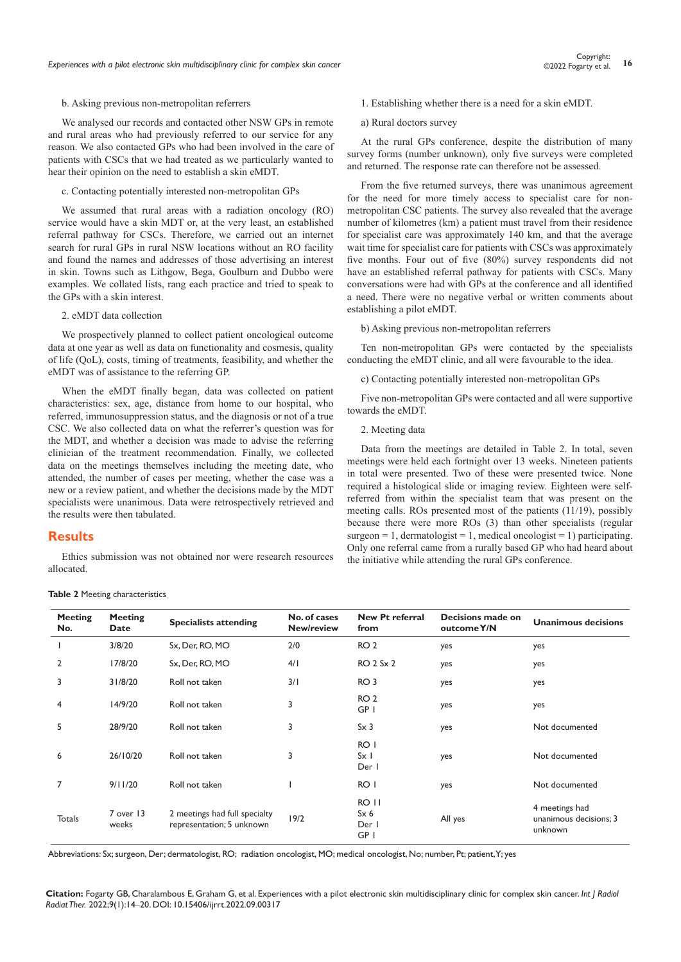#### b. Asking previous non-metropolitan referrers

We analysed our records and contacted other NSW GPs in remote and rural areas who had previously referred to our service for any reason. We also contacted GPs who had been involved in the care of patients with CSCs that we had treated as we particularly wanted to hear their opinion on the need to establish a skin eMDT.

#### c. Contacting potentially interested non-metropolitan GPs

We assumed that rural areas with a radiation oncology (RO) service would have a skin MDT or, at the very least, an established referral pathway for CSCs. Therefore, we carried out an internet search for rural GPs in rural NSW locations without an RO facility and found the names and addresses of those advertising an interest in skin. Towns such as Lithgow, Bega, Goulburn and Dubbo were examples. We collated lists, rang each practice and tried to speak to the GPs with a skin interest.

#### 2. eMDT data collection

We prospectively planned to collect patient oncological outcome data at one year as well as data on functionality and cosmesis, quality of life (QoL), costs, timing of treatments, feasibility, and whether the eMDT was of assistance to the referring GP.

When the eMDT finally began, data was collected on patient characteristics: sex, age, distance from home to our hospital, who referred, immunosuppression status, and the diagnosis or not of a true CSC. We also collected data on what the referrer's question was for the MDT, and whether a decision was made to advise the referring clinician of the treatment recommendation. Finally, we collected data on the meetings themselves including the meeting date, who attended, the number of cases per meeting, whether the case was a new or a review patient, and whether the decisions made by the MDT specialists were unanimous. Data were retrospectively retrieved and the results were then tabulated.

#### **Results**

Ethics submission was not obtained nor were research resources allocated.

- 1. Establishing whether there is a need for a skin eMDT.
- a) Rural doctors survey

At the rural GPs conference, despite the distribution of many survey forms (number unknown), only five surveys were completed and returned. The response rate can therefore not be assessed.

From the five returned surveys, there was unanimous agreement for the need for more timely access to specialist care for nonmetropolitan CSC patients. The survey also revealed that the average number of kilometres (km) a patient must travel from their residence for specialist care was approximately 140 km, and that the average wait time for specialist care for patients with CSCs was approximately five months. Four out of five (80%) survey respondents did not have an established referral pathway for patients with CSCs. Many conversations were had with GPs at the conference and all identified a need. There were no negative verbal or written comments about establishing a pilot eMDT.

b) Asking previous non-metropolitan referrers

Ten non-metropolitan GPs were contacted by the specialists conducting the eMDT clinic, and all were favourable to the idea.

c) Contacting potentially interested non-metropolitan GPs

Five non-metropolitan GPs were contacted and all were supportive towards the eMDT.

#### 2. Meeting data

Data from the meetings are detailed in Table 2. In total, seven meetings were held each fortnight over 13 weeks. Nineteen patients in total were presented. Two of these were presented twice. None required a histological slide or imaging review. Eighteen were selfreferred from within the specialist team that was present on the meeting calls. ROs presented most of the patients (11/19), possibly because there were more ROs (3) than other specialists (regular surgeon = 1, dermatologist = 1, medical oncologist = 1) participating. Only one referral came from a rurally based GP who had heard about the initiative while attending the rural GPs conference.

| <b>Meeting</b><br>No. | <b>Meeting</b><br>Date | <b>Specialists attending</b>                               | No. of cases<br>New/review | <b>New Pt referral</b><br>from         | Decisions made on<br>outcome Y/N | Unanimous decisions                                 |
|-----------------------|------------------------|------------------------------------------------------------|----------------------------|----------------------------------------|----------------------------------|-----------------------------------------------------|
|                       | 3/8/20                 | Sx, Der, RO, MO                                            | 2/0                        | RO <sub>2</sub>                        | yes                              | yes                                                 |
| 2                     | 17/8/20                | Sx, Der, RO, MO                                            | 4/1                        | <b>RO 2 Sx 2</b>                       | yes                              | yes                                                 |
| 3                     | 31/8/20                | Roll not taken                                             | 3/1                        | RO <sub>3</sub>                        | yes                              | yes                                                 |
| 4                     | 14/9/20                | Roll not taken                                             | 3                          | RO <sub>2</sub><br>GP I                | yes                              | yes                                                 |
| 5                     | 28/9/20                | Roll not taken                                             | 3                          | $S \times 3$                           | yes                              | Not documented                                      |
| 6                     | 26/10/20               | Roll not taken                                             | 3                          | RO I<br>$S \times 1$<br>Der I          | yes                              | Not documented                                      |
| 7                     | 9/11/20                | Roll not taken                                             |                            | RO I                                   | yes                              | Not documented                                      |
| <b>Totals</b>         | 7 over 13<br>weeks     | 2 meetings had full specialty<br>representation; 5 unknown | 19/2                       | RO II<br>$S \times 6$<br>Der I<br>GP I | All yes                          | 4 meetings had<br>unanimous decisions; 3<br>unknown |

#### **Table 2** Meeting characteristics

Abbreviations: Sx; surgeon, Der; dermatologist, RO; radiation oncologist, MO; medical oncologist, No; number, Pt; patient, Y; yes

**Citation:** Fogarty GB, Charalambous E, Graham G, et al. Experiences with a pilot electronic skin multidisciplinary clinic for complex skin cancer. *Int J Radiol Radiat Ther.* 2022;9(1):14‒20. DOI: [10.15406/ijrrt.2022.09.00317](https://doi.org/10.15406/ijrrt.2022.09.00317)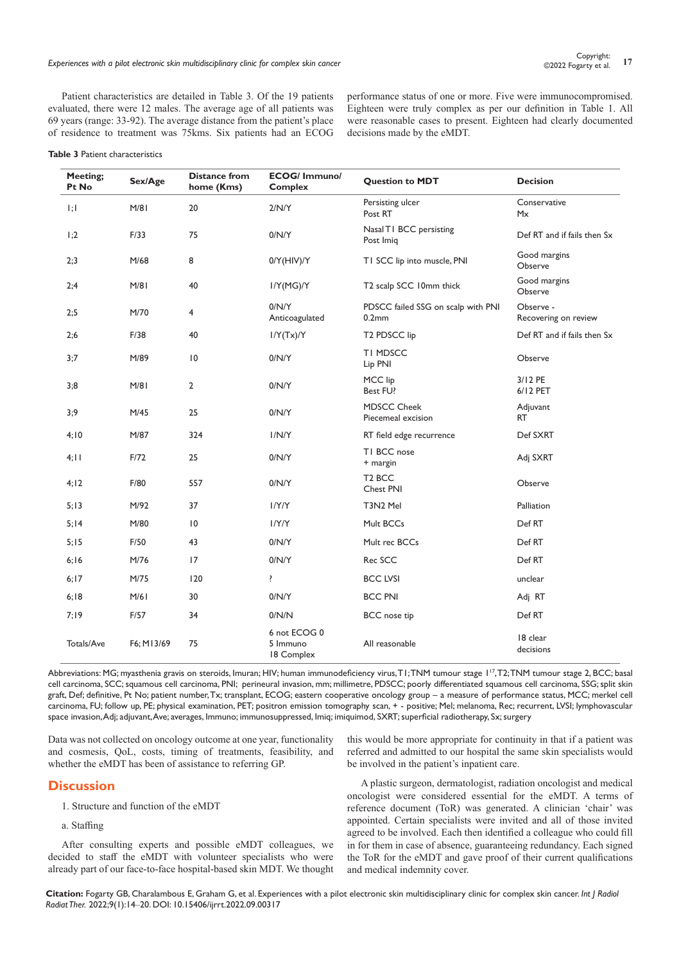Patient characteristics are detailed in Table 3. Of the 19 patients evaluated, there were 12 males. The average age of all patients was 69 years (range: 33-92). The average distance from the patient's place of residence to treatment was 75kms. Six patients had an ECOG

performance status of one or more. Five were immunocompromised. Eighteen were truly complex as per our definition in Table 1. All were reasonable cases to present. Eighteen had clearly documented decisions made by the eMDT.

#### **Table 3** Patient characteristics

| Meeting;<br>Pt No | Sex/Age    | <b>Distance from</b><br>home (Kms) | <b>ECOG/Immuno/</b><br><b>Complex</b>  | <b>Question to MDT</b>                         | <b>Decision</b>                   |
|-------------------|------------|------------------------------------|----------------------------------------|------------------------------------------------|-----------------------------------|
| 1;1               | M/81       | 20                                 | 2/N/Y                                  | Persisting ulcer<br>Post RT                    | Conservative<br>Mx                |
| 1;2               | F/33       | 75                                 | 0/N/Y                                  | Nasal T1 BCC persisting<br>Post Imig           | Def RT and if fails then Sx       |
| 2;3               | M/68       | 8                                  | 0/Y(HIV)/Y                             | TI SCC lip into muscle, PNI                    | Good margins<br>Observe           |
| 2;4               | M/81       | 40                                 | I/Y(MG)/Y                              | T2 scalp SCC 10mm thick                        | Good margins<br>Observe           |
| 2;5               | M/70       | 4                                  | 0/N/Y<br>Anticoagulated                | PDSCC failed SSG on scalp with PNI<br>$0.2$ mm | Observe -<br>Recovering on review |
| 2;6               | F/38       | 40                                 | I/Y(Tx)/Y                              | T <sub>2</sub> PD <sub>SCC</sub> lip           | Def RT and if fails then Sx       |
| 3:7               | M/89       | $\overline{10}$                    | 0/N/Y                                  | TI MDSCC<br>Lip PNI                            | Observe                           |
| 3;8               | M/81       | $\overline{2}$                     | 0/N/Y                                  | MCC lip<br>Best FU?                            | 3/12 PE<br>6/12 PET               |
| 3;9               | M/45       | 25                                 | 0/N/Y                                  | <b>MDSCC Cheek</b><br>Piecemeal excision       | Adjuvant<br>RT                    |
| 4;10              | M/87       | 324                                | I/N/Y                                  | RT field edge recurrence                       | Def SXRT                          |
| 4:11              | F/72       | 25                                 | 0/N/Y                                  | TI BCC nose<br>+ margin                        | Adj SXRT                          |
| 4:12              | F/80       | 557                                | 0/N/Y                                  | T <sub>2</sub> BCC<br>Chest PNI                | Observe                           |
| 5:13              | M/92       | 37                                 | I/Y/Y                                  | T3N2 Mel                                       | Palliation                        |
| 5:14              | M/80       | $\overline{10}$                    | I/Y/Y                                  | Mult BCCs                                      | Def RT                            |
| 5;15              | F/50       | 43                                 | 0/N/Y                                  | Mult rec BCCs                                  | Def RT                            |
| 6:16              | M/76       | 17                                 | 0/N/Y                                  | Rec SCC                                        | Def RT                            |
| 6:17              | M/75       | 120                                | ŗ                                      | <b>BCC LVSI</b>                                | unclear                           |
| 6:18              | M/61       | 30                                 | 0/N/Y                                  | <b>BCC PNI</b>                                 | Adj RT                            |
| 7:19              | F/57       | 34                                 | 0/N/N                                  | <b>BCC</b> nose tip                            | Def RT                            |
| Totals/Ave        | F6; M13/69 | 75                                 | 6 not ECOG 0<br>5 Immuno<br>18 Complex | All reasonable                                 | 18 clear<br>decisions             |

Abbreviations: MG; myasthenia gravis on steroids, Imuran; HIV; human immunodeficiency virus, T1; TNM tumour stage 1<sup>17</sup>, T2; TNM tumour stage 2, BCC; basal cell carcinoma, SCC; squamous cell carcinoma, PNI; perineural invasion, mm; millimetre, PDSCC; poorly differentiated squamous cell carcinoma, SSG; split skin graft, Def; definitive, Pt No; patient number, Tx; transplant, ECOG; eastern cooperative oncology group – a measure of performance status, MCC; merkel cell carcinoma, FU; follow up, PE; physical examination, PET; positron emission tomography scan, + - positive; Mel; melanoma, Rec; recurrent, LVSI; lymphovascular space invasion, Adj; adjuvant, Ave; averages, Immuno; immunosuppressed, Imiq; imiquimod, SXRT; superficial radiotherapy, Sx; surgery

Data was not collected on oncology outcome at one year, functionality and cosmesis, QoL, costs, timing of treatments, feasibility, and whether the eMDT has been of assistance to referring GP.

# **Discussion**

- 1. Structure and function of the eMDT
- a. Staffing

After consulting experts and possible eMDT colleagues, we decided to staff the eMDT with volunteer specialists who were already part of our face-to-face hospital-based skin MDT. We thought this would be more appropriate for continuity in that if a patient was referred and admitted to our hospital the same skin specialists would be involved in the patient's inpatient care.

A plastic surgeon, dermatologist, radiation oncologist and medical oncologist were considered essential for the eMDT. A terms of reference document (ToR) was generated. A clinician 'chair' was appointed. Certain specialists were invited and all of those invited agreed to be involved. Each then identified a colleague who could fill in for them in case of absence, guaranteeing redundancy. Each signed the ToR for the eMDT and gave proof of their current qualifications and medical indemnity cover.

**Citation:** Fogarty GB, Charalambous E, Graham G, et al. Experiences with a pilot electronic skin multidisciplinary clinic for complex skin cancer. *Int J Radiol Radiat Ther.* 2022;9(1):14‒20. DOI: [10.15406/ijrrt.2022.09.00317](https://doi.org/10.15406/ijrrt.2022.09.00317)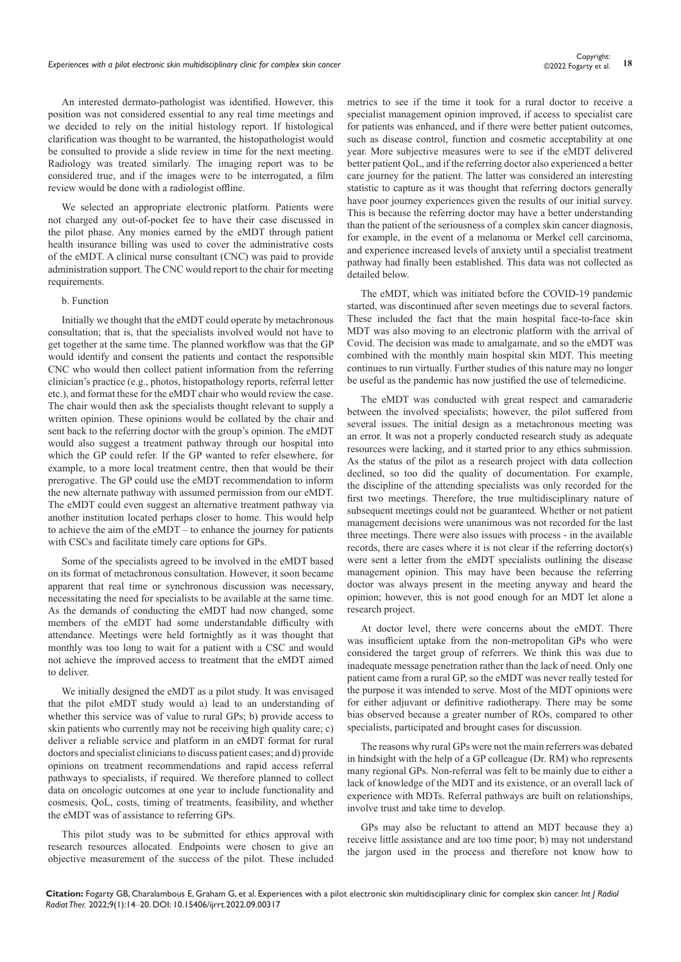An interested dermato-pathologist was identified. However, this position was not considered essential to any real time meetings and we decided to rely on the initial histology report. If histological clarification was thought to be warranted, the histopathologist would be consulted to provide a slide review in time for the next meeting. Radiology was treated similarly. The imaging report was to be considered true, and if the images were to be interrogated, a film review would be done with a radiologist offline.

We selected an appropriate electronic platform. Patients were not charged any out-of-pocket fee to have their case discussed in the pilot phase. Any monies earned by the eMDT through patient health insurance billing was used to cover the administrative costs of the eMDT. A clinical nurse consultant (CNC) was paid to provide administration support. The CNC would report to the chair for meeting requirements.

#### b. Function

Initially we thought that the eMDT could operate by metachronous consultation; that is, that the specialists involved would not have to get together at the same time. The planned workflow was that the GP would identify and consent the patients and contact the responsible CNC who would then collect patient information from the referring clinician's practice (e.g., photos, histopathology reports, referral letter etc.), and format these for the eMDT chair who would review the case. The chair would then ask the specialists thought relevant to supply a written opinion. These opinions would be collated by the chair and sent back to the referring doctor with the group's opinion. The eMDT would also suggest a treatment pathway through our hospital into which the GP could refer. If the GP wanted to refer elsewhere, for example, to a more local treatment centre, then that would be their prerogative. The GP could use the eMDT recommendation to inform the new alternate pathway with assumed permission from our eMDT. The eMDT could even suggest an alternative treatment pathway via another institution located perhaps closer to home. This would help to achieve the aim of the eMDT – to enhance the journey for patients with CSCs and facilitate timely care options for GPs.

Some of the specialists agreed to be involved in the eMDT based on its format of metachronous consultation. However, it soon became apparent that real time or synchronous discussion was necessary, necessitating the need for specialists to be available at the same time. As the demands of conducting the eMDT had now changed, some members of the eMDT had some understandable difficulty with attendance. Meetings were held fortnightly as it was thought that monthly was too long to wait for a patient with a CSC and would not achieve the improved access to treatment that the eMDT aimed to deliver.

We initially designed the eMDT as a pilot study. It was envisaged that the pilot eMDT study would a) lead to an understanding of whether this service was of value to rural GPs; b) provide access to skin patients who currently may not be receiving high quality care; c) deliver a reliable service and platform in an eMDT format for rural doctors and specialist clinicians to discuss patient cases; and d) provide opinions on treatment recommendations and rapid access referral pathways to specialists, if required. We therefore planned to collect data on oncologic outcomes at one year to include functionality and cosmesis, QoL, costs, timing of treatments, feasibility, and whether the eMDT was of assistance to referring GPs.

This pilot study was to be submitted for ethics approval with research resources allocated. Endpoints were chosen to give an objective measurement of the success of the pilot. These included

metrics to see if the time it took for a rural doctor to receive a specialist management opinion improved, if access to specialist care for patients was enhanced, and if there were better patient outcomes, such as disease control, function and cosmetic acceptability at one year. More subjective measures were to see if the eMDT delivered better patient QoL, and if the referring doctor also experienced a better care journey for the patient. The latter was considered an interesting statistic to capture as it was thought that referring doctors generally have poor journey experiences given the results of our initial survey. This is because the referring doctor may have a better understanding than the patient of the seriousness of a complex skin cancer diagnosis, for example, in the event of a melanoma or Merkel cell carcinoma, and experience increased levels of anxiety until a specialist treatment pathway had finally been established. This data was not collected as detailed below.

The eMDT, which was initiated before the COVID-19 pandemic started, was discontinued after seven meetings due to several factors. These included the fact that the main hospital face-to-face skin MDT was also moving to an electronic platform with the arrival of Covid. The decision was made to amalgamate, and so the eMDT was combined with the monthly main hospital skin MDT. This meeting continues to run virtually. Further studies of this nature may no longer be useful as the pandemic has now justified the use of telemedicine.

The eMDT was conducted with great respect and camaraderie between the involved specialists; however, the pilot suffered from several issues. The initial design as a metachronous meeting was an error. It was not a properly conducted research study as adequate resources were lacking, and it started prior to any ethics submission. As the status of the pilot as a research project with data collection declined, so too did the quality of documentation. For example, the discipline of the attending specialists was only recorded for the first two meetings. Therefore, the true multidisciplinary nature of subsequent meetings could not be guaranteed. Whether or not patient management decisions were unanimous was not recorded for the last three meetings. There were also issues with process - in the available records, there are cases where it is not clear if the referring doctor(s) were sent a letter from the eMDT specialists outlining the disease management opinion. This may have been because the referring doctor was always present in the meeting anyway and heard the opinion; however, this is not good enough for an MDT let alone a research project.

At doctor level, there were concerns about the eMDT. There was insufficient uptake from the non-metropolitan GPs who were considered the target group of referrers. We think this was due to inadequate message penetration rather than the lack of need. Only one patient came from a rural GP, so the eMDT was never really tested for the purpose it was intended to serve. Most of the MDT opinions were for either adjuvant or definitive radiotherapy. There may be some bias observed because a greater number of ROs, compared to other specialists, participated and brought cases for discussion.

The reasons why rural GPs were not the main referrers was debated in hindsight with the help of a GP colleague (Dr. RM) who represents many regional GPs. Non-referral was felt to be mainly due to either a lack of knowledge of the MDT and its existence, or an overall lack of experience with MDTs. Referral pathways are built on relationships, involve trust and take time to develop.

GPs may also be reluctant to attend an MDT because they a) receive little assistance and are too time poor; b) may not understand the jargon used in the process and therefore not know how to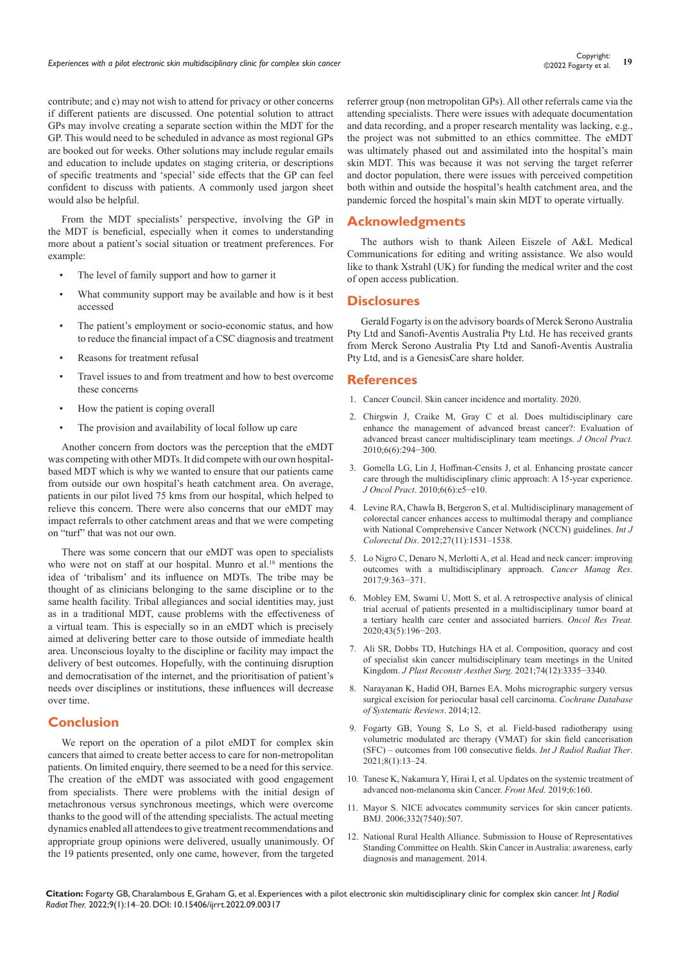contribute; and c) may not wish to attend for privacy or other concerns if different patients are discussed. One potential solution to attract GPs may involve creating a separate section within the MDT for the GP. This would need to be scheduled in advance as most regional GPs are booked out for weeks. Other solutions may include regular emails and education to include updates on staging criteria, or descriptions of specific treatments and 'special' side effects that the GP can feel confident to discuss with patients. A commonly used jargon sheet would also be helpful.

From the MDT specialists' perspective, involving the GP in the MDT is beneficial, especially when it comes to understanding more about a patient's social situation or treatment preferences. For example:

- The level of family support and how to garner it
- What community support may be available and how is it best accessed
- The patient's employment or socio-economic status, and how to reduce the financial impact of a CSC diagnosis and treatment
- Reasons for treatment refusal
- Travel issues to and from treatment and how to best overcome these concerns
- How the patient is coping overall
- The provision and availability of local follow up care

Another concern from doctors was the perception that the eMDT was competing with other MDTs. It did compete with our own hospitalbased MDT which is why we wanted to ensure that our patients came from outside our own hospital's heath catchment area. On average, patients in our pilot lived 75 kms from our hospital, which helped to relieve this concern. There were also concerns that our eMDT may impact referrals to other catchment areas and that we were competing on "turf" that was not our own.

There was some concern that our eMDT was open to specialists who were not on staff at our hospital. Munro et al.<sup>18</sup> mentions the idea of 'tribalism' and its influence on MDTs. The tribe may be thought of as clinicians belonging to the same discipline or to the same health facility. Tribal allegiances and social identities may, just as in a traditional MDT, cause problems with the effectiveness of a virtual team. This is especially so in an eMDT which is precisely aimed at delivering better care to those outside of immediate health area. Unconscious loyalty to the discipline or facility may impact the delivery of best outcomes. Hopefully, with the continuing disruption and democratisation of the internet, and the prioritisation of patient's needs over disciplines or institutions, these influences will decrease over time.

# **Conclusion**

We report on the operation of a pilot eMDT for complex skin cancers that aimed to create better access to care for non-metropolitan patients. On limited enquiry, there seemed to be a need for this service. The creation of the eMDT was associated with good engagement from specialists. There were problems with the initial design of metachronous versus synchronous meetings, which were overcome thanks to the good will of the attending specialists. The actual meeting dynamics enabled all attendees to give treatment recommendations and appropriate group opinions were delivered, usually unanimously. Of the 19 patients presented, only one came, however, from the targeted referrer group (non metropolitan GPs). All other referrals came via the attending specialists. There were issues with adequate documentation and data recording, and a proper research mentality was lacking, e.g., the project was not submitted to an ethics committee. The eMDT was ultimately phased out and assimilated into the hospital's main skin MDT. This was because it was not serving the target referrer and doctor population, there were issues with perceived competition both within and outside the hospital's health catchment area, and the pandemic forced the hospital's main skin MDT to operate virtually.

# **Acknowledgments**

The authors wish to thank Aileen Eiszele of A&L Medical Communications for editing and writing assistance. We also would like to thank Xstrahl (UK) for funding the medical writer and the cost of open access publication.

# **Disclosures**

Gerald Fogarty is on the advisory boards of Merck Serono Australia Pty Ltd and Sanofi-Aventis Australia Pty Ltd. He has received grants from Merck Serono Australia Pty Ltd and Sanofi-Aventis Australia Pty Ltd, and is a GenesisCare share holder.

# **References**

- 1. [Cancer Council. Skin cancer incidence and mortality. 2020.](https://wiki.cancer.org.au/skincancerstats_mw/index.php?title=Skin_cancer_incidence_and_mortality&oldid=756)
- 2. [Chirgwin J, Craike M, Gray C et al. Does multidisciplinary care](https://www.ncbi.nlm.nih.gov/pmc/articles/PMC2988663/)  [enhance the management of advanced breast cancer?: Evaluation of](https://www.ncbi.nlm.nih.gov/pmc/articles/PMC2988663/)  [advanced breast cancer multidisciplinary team meetings.](https://www.ncbi.nlm.nih.gov/pmc/articles/PMC2988663/) *J Oncol Pract.* [2010;6\(6\):294−300.](https://www.ncbi.nlm.nih.gov/pmc/articles/PMC2988663/)
- 3. [Gomella LG, Lin J, Hoffman-Censits J, et al. Enhancing prostate cancer](https://pubmed.ncbi.nlm.nih.gov/21358951/)  [care through the multidisciplinary clinic approach: A 15-year experience.](https://pubmed.ncbi.nlm.nih.gov/21358951/)  *J Oncol Pract*[. 2010;6\(6\):e5−e10.](https://pubmed.ncbi.nlm.nih.gov/21358951/)
- 4. [Levine RA, Chawla B, Bergeron S, et al. Multidisciplinary management of](https://pubmed.ncbi.nlm.nih.gov/22645076/)  [colorectal cancer enhances access to multimodal therapy and compliance](https://pubmed.ncbi.nlm.nih.gov/22645076/)  [with National Comprehensive Cancer Network \(NCCN\) guidelines.](https://pubmed.ncbi.nlm.nih.gov/22645076/) *Int J Colorectal Dis*[. 2012;27\(11\):1531–1538.](https://pubmed.ncbi.nlm.nih.gov/22645076/)
- 5. [Lo Nigro C, Denaro N, Merlotti A, et al. Head and neck cancer: improving](https://pubmed.ncbi.nlm.nih.gov/28860859/)  [outcomes with a multidisciplinary approach.](https://pubmed.ncbi.nlm.nih.gov/28860859/) *Cancer Manag Res*. [2017;9:363−371.](https://pubmed.ncbi.nlm.nih.gov/28860859/)
- 6. [Mobley EM, Swami U, Mott S, et al. A retrospective analysis of clinical](https://pubmed.ncbi.nlm.nih.gov/32222709/)  [trial accrual of patients presented in a multidisciplinary tumor board at](https://pubmed.ncbi.nlm.nih.gov/32222709/)  [a tertiary health care center and associated barriers.](https://pubmed.ncbi.nlm.nih.gov/32222709/) *Oncol Res Treat.* [2020;43\(5\):196−203.](https://pubmed.ncbi.nlm.nih.gov/32222709/)
- 7. [Ali SR, Dobbs TD, Hutchings HA et al. Composition, quoracy and cost](https://pubmed.ncbi.nlm.nih.gov/34187763/)  [of specialist skin cancer multidisciplinary team meetings in the United](https://pubmed.ncbi.nlm.nih.gov/34187763/)  Kingdom. *[J Plast Reconstr Aesthet Surg.](https://pubmed.ncbi.nlm.nih.gov/34187763/)* 2021;74(12):3335−3340.
- 8. [Narayanan K, Hadid OH, Barnes EA. Mohs micrographic surgery versus](https://www.cochrane.org/CD007041/EYES_mohs-micrographic-surgery-versus-surgical-excision-for-periocular-basal-cell-carcinoma)  [surgical excision for periocular basal cell carcinoma.](https://www.cochrane.org/CD007041/EYES_mohs-micrographic-surgery-versus-surgical-excision-for-periocular-basal-cell-carcinoma) *Cochrane Database [of Systematic Reviews](https://www.cochrane.org/CD007041/EYES_mohs-micrographic-surgery-versus-surgical-excision-for-periocular-basal-cell-carcinoma)*. 2014;12.
- 9. [Fogarty GB, Young S, Lo S, et al. Field-based radiotherapy using](https://medcraveonline.com/IJRRT/field-based-radiotherapy-using-volumetric-modulated-arc-therapy-vmat-for-skin-field-cancerisation-sfcndashoutcomes-from-100-consecutive-fields.html)  [volumetric modulated arc therapy \(VMAT\) for skin field cancerisation](https://medcraveonline.com/IJRRT/field-based-radiotherapy-using-volumetric-modulated-arc-therapy-vmat-for-skin-field-cancerisation-sfcndashoutcomes-from-100-consecutive-fields.html)  [\(SFC\) – outcomes from 100 consecutive fields.](https://medcraveonline.com/IJRRT/field-based-radiotherapy-using-volumetric-modulated-arc-therapy-vmat-for-skin-field-cancerisation-sfcndashoutcomes-from-100-consecutive-fields.html) *Int J Radiol Radiat Ther*. [2021;8\(1\):13‒24.](https://medcraveonline.com/IJRRT/field-based-radiotherapy-using-volumetric-modulated-arc-therapy-vmat-for-skin-field-cancerisation-sfcndashoutcomes-from-100-consecutive-fields.html)
- 10. [Tanese K, Nakamura Y, Hirai I, et al. Updates on the systemic treatment of](https://pubmed.ncbi.nlm.nih.gov/31355203/)  [advanced non-melanoma skin Cancer.](https://pubmed.ncbi.nlm.nih.gov/31355203/) *Front Med*. 2019;6:160.
- 11. [Mayor S. NICE advocates community services for skin cancer patients.](https://www.bmj.com/content/332/7540/507.3)  [BMJ. 2006;332\(7540\):507.](https://www.bmj.com/content/332/7540/507.3)
- 12. [National Rural Health Alliance. Submission to House of Representatives](https://www.ruralhealth.org.au/sites/default/files/documents/nrha-policy-document/submissions/sub-skin-cancer-inquiry-21-march-2014.pdf.)  [Standing Committee on Health. Skin Cancer in Australia: awareness, early](https://www.ruralhealth.org.au/sites/default/files/documents/nrha-policy-document/submissions/sub-skin-cancer-inquiry-21-march-2014.pdf.)  [diagnosis and management. 2014.](https://www.ruralhealth.org.au/sites/default/files/documents/nrha-policy-document/submissions/sub-skin-cancer-inquiry-21-march-2014.pdf.)

**Citation:** Fogarty GB, Charalambous E, Graham G, et al. Experiences with a pilot electronic skin multidisciplinary clinic for complex skin cancer. *Int J Radiol Radiat Ther.* 2022;9(1):14‒20. DOI: [10.15406/ijrrt.2022.09.00317](https://doi.org/10.15406/ijrrt.2022.09.00317)